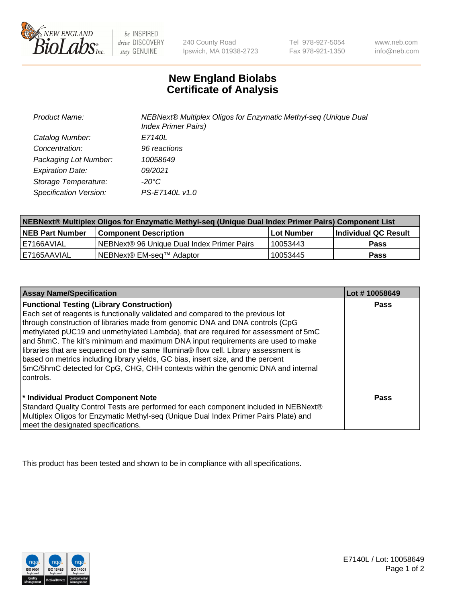

be INSPIRED drive DISCOVERY stay GENUINE

240 County Road Ipswich, MA 01938-2723 Tel 978-927-5054 Fax 978-921-1350 www.neb.com info@neb.com

## **New England Biolabs Certificate of Analysis**

| <b>Product Name:</b>    | NEBNext® Multiplex Oligos for Enzymatic Methyl-seq (Unique Dual<br><b>Index Primer Pairs)</b> |
|-------------------------|-----------------------------------------------------------------------------------------------|
| Catalog Number:         | E7140L                                                                                        |
| Concentration:          | 96 reactions                                                                                  |
| Packaging Lot Number:   | 10058649                                                                                      |
| <b>Expiration Date:</b> | 09/2021                                                                                       |
| Storage Temperature:    | -20°C                                                                                         |
| Specification Version:  | PS-E7140L v1.0                                                                                |

| NEBNext® Multiplex Oligos for Enzymatic Methyl-seq (Unique Dual Index Primer Pairs) Component List |                                            |            |                             |  |
|----------------------------------------------------------------------------------------------------|--------------------------------------------|------------|-----------------------------|--|
| <b>NEB Part Number</b>                                                                             | <b>Component Description</b>               | Lot Number | <b>Individual QC Result</b> |  |
| I E7166AVIAL                                                                                       | NEBNext® 96 Unique Dual Index Primer Pairs | 10053443   | <b>Pass</b>                 |  |
| I E7165AAVIAL                                                                                      | NEBNext® EM-seq™ Adaptor                   | 10053445   | <b>Pass</b>                 |  |

| <b>Assay Name/Specification</b>                                                                                                                                                                                                                                            | Lot #10058649 |
|----------------------------------------------------------------------------------------------------------------------------------------------------------------------------------------------------------------------------------------------------------------------------|---------------|
| <b>Functional Testing (Library Construction)</b><br>Each set of reagents is functionally validated and compared to the previous lot                                                                                                                                        | Pass          |
| through construction of libraries made from genomic DNA and DNA controls (CpG<br>methylated pUC19 and unmethylated Lambda), that are required for assessment of 5mC<br>and 5hmC. The kit's minimum and maximum DNA input requirements are used to make                     |               |
| libraries that are sequenced on the same Illumina® flow cell. Library assessment is<br>based on metrics including library yields, GC bias, insert size, and the percent<br>5mC/5hmC detected for CpG, CHG, CHH contexts within the genomic DNA and internal<br>l controls. |               |
| * Individual Product Component Note<br>Standard Quality Control Tests are performed for each component included in NEBNext®<br>Multiplex Oligos for Enzymatic Methyl-seq (Unique Dual Index Primer Pairs Plate) and<br>meet the designated specifications.                 | Pass          |

This product has been tested and shown to be in compliance with all specifications.